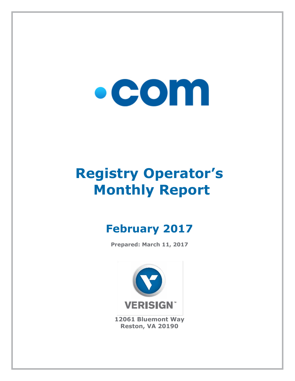# $\bullet$  COM

## **Registry Operator's Monthly Report**

### **February 2017**

**Prepared: March 11, 2017**



**12061 Bluemont Way Reston, VA 20190**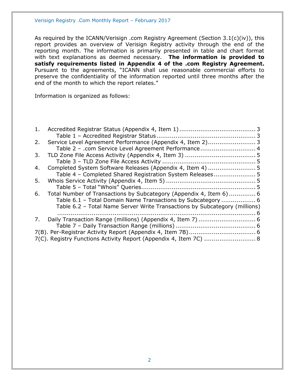As required by the ICANN/Verisign .com Registry Agreement (Section 3.1(c)(iv)), this report provides an overview of Verisign Registry activity through the end of the reporting month. The information is primarily presented in table and chart format with text explanations as deemed necessary. **The information is provided to satisfy requirements listed in Appendix 4 of the .com Registry Agreement.** Pursuant to the agreements, "ICANN shall use reasonable commercial efforts to preserve the confidentiality of the information reported until three months after the end of the month to which the report relates."

Information is organized as follows:

| 1. |                                                                            |  |
|----|----------------------------------------------------------------------------|--|
|    |                                                                            |  |
| 2. |                                                                            |  |
|    | Table 2 - .com Service Level Agreement Performance 4                       |  |
| 3. |                                                                            |  |
|    |                                                                            |  |
| 4. |                                                                            |  |
|    | Table 4 - Completed Shared Registration System Releases 5                  |  |
| 5. |                                                                            |  |
|    |                                                                            |  |
| 6. | Total Number of Transactions by Subcategory (Appendix 4, Item 6)  6        |  |
|    | Table 6.1 - Total Domain Name Transactions by Subcategory  6               |  |
|    | Table 6.2 - Total Name Server Write Transactions by Subcategory (millions) |  |
|    |                                                                            |  |
| 7. |                                                                            |  |
|    |                                                                            |  |
|    |                                                                            |  |
|    | 7(C). Registry Functions Activity Report (Appendix 4, Item 7C)  8          |  |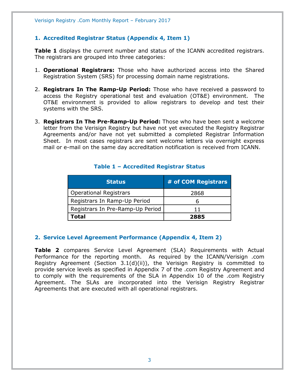#### <span id="page-2-0"></span>**1. Accredited Registrar Status (Appendix 4, Item 1)**

**Table 1** displays the current number and status of the ICANN accredited registrars. The registrars are grouped into three categories:

- 1. **Operational Registrars:** Those who have authorized access into the Shared Registration System (SRS) for processing domain name registrations.
- 2. **Registrars In The Ramp-Up Period:** Those who have received a password to access the Registry operational test and evaluation (OT&E) environment. The OT&E environment is provided to allow registrars to develop and test their systems with the SRS.
- 3. **Registrars In The Pre-Ramp-Up Period:** Those who have been sent a welcome letter from the Verisign Registry but have not yet executed the Registry Registrar Agreements and/or have not yet submitted a completed Registrar Information Sheet. In most cases registrars are sent welcome letters via overnight express mail or e-mail on the same day accreditation notification is received from ICANN.

<span id="page-2-1"></span>

| <b>Status</b>                    | # of COM Registrars |
|----------------------------------|---------------------|
| <b>Operational Registrars</b>    | 2868                |
| Registrars In Ramp-Up Period     |                     |
| Registrars In Pre-Ramp-Up Period | 11                  |
| Total                            | 2885                |

#### **Table 1 – Accredited Registrar Status**

#### <span id="page-2-2"></span>**2. Service Level Agreement Performance (Appendix 4, Item 2)**

**Table 2** compares Service Level Agreement (SLA) Requirements with Actual Performance for the reporting month. As required by the ICANN/Verisign .com Registry Agreement (Section 3.1(d)(ii)), the Verisign Registry is committed to provide service levels as specified in Appendix 7 of the .com Registry Agreement and to comply with the requirements of the SLA in Appendix 10 of the .com Registry Agreement. The SLAs are incorporated into the Verisign Registry Registrar Agreements that are executed with all operational registrars.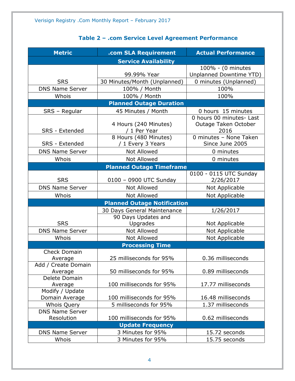<span id="page-3-0"></span>

| <b>Metric</b>                  | .com SLA Requirement                       | <b>Actual Performance</b>                                |  |
|--------------------------------|--------------------------------------------|----------------------------------------------------------|--|
|                                | <b>Service Availability</b>                |                                                          |  |
|                                |                                            | 100% - (0 minutes                                        |  |
|                                | 99.99% Year                                | Unplanned Downtime YTD)                                  |  |
| <b>SRS</b>                     | 30 Minutes/Month (Unplanned)               | 0 minutes (Unplanned)                                    |  |
| <b>DNS Name Server</b>         | 100% / Month                               | 100%                                                     |  |
| Whois                          | 100% / Month                               | 100%                                                     |  |
|                                | <b>Planned Outage Duration</b>             |                                                          |  |
| SRS - Regular                  | 45 Minutes / Month                         | 0 hours 15 minutes                                       |  |
| SRS - Extended                 | 4 Hours (240 Minutes)<br>/ 1 Per Year      | 0 hours 00 minutes- Last<br>Outage Taken October<br>2016 |  |
| SRS - Extended                 | 8 Hours (480 Minutes)<br>/ 1 Every 3 Years | 0 minutes - None Taken<br>Since June 2005                |  |
| <b>DNS Name Server</b>         | Not Allowed                                | 0 minutes                                                |  |
| Whois                          | <b>Not Allowed</b>                         | 0 minutes                                                |  |
|                                | <b>Planned Outage Timeframe</b>            |                                                          |  |
| <b>SRS</b>                     | 0100 - 0900 UTC Sunday                     | 0100 - 0115 UTC Sunday<br>2/26/2017                      |  |
| <b>DNS Name Server</b>         | <b>Not Allowed</b>                         | Not Applicable                                           |  |
| Whois                          | <b>Not Allowed</b>                         | Not Applicable                                           |  |
|                                | <b>Planned Outage Notification</b>         |                                                          |  |
|                                | 30 Days General Maintenance                | 1/26/2017                                                |  |
|                                | 90 Days Updates and                        |                                                          |  |
| <b>SRS</b>                     | Upgrades                                   | Not Applicable                                           |  |
| <b>DNS Name Server</b>         | <b>Not Allowed</b>                         | Not Applicable                                           |  |
| Whois                          | <b>Not Allowed</b>                         | Not Applicable                                           |  |
|                                | <b>Processing Time</b>                     |                                                          |  |
| <b>Check Domain</b>            |                                            |                                                          |  |
| Average                        | 25 milliseconds for 95%                    | 0.36 milliseconds                                        |  |
| Add / Create Domain<br>Average | 50 milliseconds for 95%                    | 0.89 milliseconds                                        |  |
| Delete Domain                  |                                            |                                                          |  |
| Average                        | 100 milliseconds for 95%                   | 17.77 milliseconds                                       |  |
| Modify / Update                |                                            |                                                          |  |
| Domain Average                 | 100 milliseconds for 95%                   | 16.48 milliseconds                                       |  |
| Whois Query                    | 5 milliseconds for 95%                     | 1.37 milliseconds                                        |  |
| <b>DNS Name Server</b>         |                                            |                                                          |  |
| Resolution                     | 100 milliseconds for 95%                   | 0.62 milliseconds                                        |  |
|                                | <b>Update Frequency</b>                    |                                                          |  |
| <b>DNS Name Server</b>         | 3 Minutes for 95%                          | 15.72 seconds                                            |  |
| Whois                          | 3 Minutes for 95%                          | 15.75 seconds                                            |  |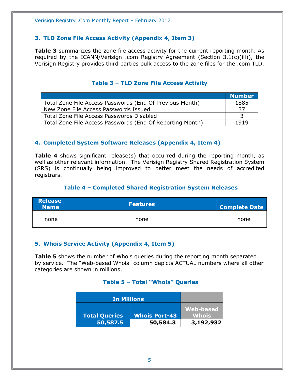#### <span id="page-4-0"></span>**3. TLD Zone File Access Activity (Appendix 4, Item 3)**

**Table 3** summarizes the zone file access activity for the current reporting month. As required by the ICANN/Verisign .com Registry Agreement (Section 3.1(c)(iii)), the Verisign Registry provides third parties bulk access to the zone files for the .com TLD.

<span id="page-4-1"></span>

|                                                           | <b>Number</b> |
|-----------------------------------------------------------|---------------|
| Total Zone File Access Passwords (End Of Previous Month)  | 1885          |
| New Zone File Access Passwords Issued                     | 37            |
| Total Zone File Access Passwords Disabled                 |               |
| Total Zone File Access Passwords (End Of Reporting Month) | 1919          |

#### **Table 3 – TLD Zone File Access Activity**

#### <span id="page-4-2"></span>**4. Completed System Software Releases (Appendix 4, Item 4)**

**Table 4** shows significant release(s) that occurred during the reporting month, as well as other relevant information. The Verisign Registry Shared Registration System (SRS) is continually being improved to better meet the needs of accredited registrars.

#### **Table 4 – Completed Shared Registration System Releases**

<span id="page-4-3"></span>

| <b>Release</b><br><b>Name</b> | <b>Features</b> | <b>Complete Date</b> |
|-------------------------------|-----------------|----------------------|
| none                          | none            | none                 |

#### <span id="page-4-4"></span>**5. Whois Service Activity (Appendix 4, Item 5)**

<span id="page-4-5"></span>**Table 5** shows the number of Whois queries during the reporting month separated by service. The "Web-based Whois" column depicts ACTUAL numbers where all other categories are shown in millions.

#### **Table 5 – Total "Whois" Queries**

| <b>In Millions</b>   |                      |                  |
|----------------------|----------------------|------------------|
|                      |                      | <b>Web-based</b> |
| <b>Total Queries</b> | <b>Whois Port-43</b> | Whois'           |
| 50,587.5             | 50,584.3             | 3,192,932        |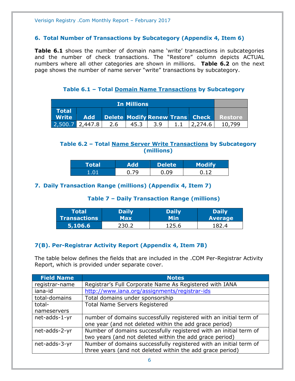#### <span id="page-5-0"></span>**6. Total Number of Transactions by Subcategory (Appendix 4, Item 6)**

**Table 6.1** shows the number of domain name 'write' transactions in subcategories and the number of check transactions. The "Restore" column depicts ACTUAL numbers where all other categories are shown in millions. **Table 6.2** on the next page shows the number of name server "write" transactions by subcategory.

**Table 6.1 – Total Domain Name Transactions by Subcategory**

<span id="page-5-1"></span>

| <b>In Millions</b>                                  |            |     |      |     |         |                                         |
|-----------------------------------------------------|------------|-----|------|-----|---------|-----------------------------------------|
| <b>Total</b><br>$\blacksquare$ Write $\blacksquare$ | <b>Add</b> |     |      |     |         | Delete Modify Renew Trans Check Restore |
| 2,500.7                                             | 2,447.8    | 2.6 | 45.3 | 3.9 | 2,274.6 | 10.799                                  |

#### <span id="page-5-2"></span>**Table 6.2 – Total Name Server Write Transactions by Subcategory (millions)**

| <b>Total</b> | <b>Add</b> | <b>Delete</b> | <b>Modify</b> |
|--------------|------------|---------------|---------------|
| י מ          | -70        | nq            |               |

#### <span id="page-5-4"></span><span id="page-5-3"></span>**7. Daily Transaction Range (millions) (Appendix 4, Item 7)**

#### **Table 7 – Daily Transaction Range (millions)**

| Total               | <b>Daily</b> | <b>Daily</b> | <b>Daily</b>   |
|---------------------|--------------|--------------|----------------|
| <b>Transactions</b> | Max          | Min          | <b>Average</b> |
| 5,106.6             | 230.2        | 125.6        |                |

#### <span id="page-5-5"></span>**7(B). Per-Registrar Activity Report (Appendix 4, Item 7B)**

The table below defines the fields that are included in the .COM Per-Registrar Activity Report, which is provided under separate cover.

| <b>Field Name</b> | <b>Notes</b>                                                      |
|-------------------|-------------------------------------------------------------------|
| registrar-name    | Registrar's Full Corporate Name As Registered with IANA           |
| iana-id           | http://www.iana.org/assignments/registrar-ids                     |
| total-domains     | Total domains under sponsorship                                   |
| total-            | <b>Total Name Servers Registered</b>                              |
| nameservers       |                                                                   |
| net-adds-1-yr     | number of domains successfully registered with an initial term of |
|                   | one year (and not deleted within the add grace period)            |
| net-adds-2-yr     | Number of domains successfully registered with an initial term of |
|                   | two years (and not deleted within the add grace period)           |
| net-adds-3-yr     | Number of domains successfully registered with an initial term of |
|                   | three years (and not deleted within the add grace period)         |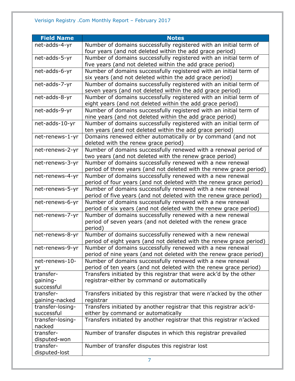| <b>Field Name</b> | <b>Notes</b>                                                                                                                    |
|-------------------|---------------------------------------------------------------------------------------------------------------------------------|
| net-adds-4-yr     | Number of domains successfully registered with an initial term of                                                               |
|                   | four years (and not deleted within the add grace period)                                                                        |
| net-adds-5-yr     | Number of domains successfully registered with an initial term of                                                               |
|                   | five years (and not deleted within the add grace period)                                                                        |
| net-adds-6-yr     | Number of domains successfully registered with an initial term of                                                               |
|                   | six years (and not deleted within the add grace period)                                                                         |
| net-adds-7-yr     | Number of domains successfully registered with an initial term of                                                               |
|                   | seven years (and not deleted within the add grace period)                                                                       |
| net-adds-8-yr     | Number of domains successfully registered with an initial term of                                                               |
|                   | eight years (and not deleted within the add grace period)                                                                       |
| net-adds-9-yr     | Number of domains successfully registered with an initial term of                                                               |
|                   | nine years (and not deleted within the add grace period)                                                                        |
| net-adds-10-yr    | Number of domains successfully registered with an initial term of                                                               |
|                   | ten years (and not deleted within the add grace period)                                                                         |
| net-renews-1-yr   | Domains renewed either automatically or by command (and not                                                                     |
|                   | deleted with the renew grace period)                                                                                            |
| net-renews-2-yr   | Number of domains successfully renewed with a renewal period of                                                                 |
|                   | two years (and not deleted with the renew grace period)                                                                         |
| net-renews-3-yr   | Number of domains successfully renewed with a new renewal                                                                       |
|                   | period of three years (and not deleted with the renew grace period)                                                             |
| net-renews-4-yr   | Number of domains successfully renewed with a new renewal                                                                       |
|                   | period of four years (and not deleted with the renew grace period)                                                              |
| net-renews-5-yr   | Number of domains successfully renewed with a new renewal                                                                       |
| net-renews-6-yr   | period of five years (and not deleted with the renew grace period)<br>Number of domains successfully renewed with a new renewal |
|                   | period of six years (and not deleted with the renew grace period)                                                               |
| net-renews-7-yr   | Number of domains successfully renewed with a new renewal                                                                       |
|                   | period of seven years (and not deleted with the renew grace                                                                     |
|                   | period)                                                                                                                         |
| net-renews-8-yr   | Number of domains successfully renewed with a new renewal                                                                       |
|                   | period of eight years (and not deleted with the renew grace period)                                                             |
| net-renews-9-yr   | Number of domains successfully renewed with a new renewal                                                                       |
|                   | period of nine years (and not deleted with the renew grace period)                                                              |
| net-renews-10-    | Number of domains successfully renewed with a new renewal                                                                       |
| yr                | period of ten years (and not deleted with the renew grace period)                                                               |
| transfer-         | Transfers initiated by this registrar that were ack'd by the other                                                              |
| gaining-          | registrar-either by command or automatically                                                                                    |
| successful        |                                                                                                                                 |
| transfer-         | Transfers initiated by this registrar that were n'acked by the other                                                            |
| gaining-nacked    | registrar                                                                                                                       |
| transfer-losing-  | Transfers initiated by another registrar that this registrar ack'd-                                                             |
| successful        | either by command or automatically                                                                                              |
| transfer-losing-  | Transfers initiated by another registrar that this registrar n'acked                                                            |
| nacked            |                                                                                                                                 |
| transfer-         | Number of transfer disputes in which this registrar prevailed                                                                   |
| disputed-won      |                                                                                                                                 |
| transfer-         | Number of transfer disputes this registrar lost                                                                                 |
| disputed-lost     |                                                                                                                                 |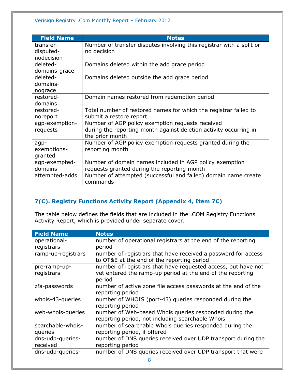| <b>Field Name</b> | <b>Notes</b>                                                         |
|-------------------|----------------------------------------------------------------------|
| transfer-         | Number of transfer disputes involving this registrar with a split or |
| disputed-         | no decision                                                          |
| nodecision        |                                                                      |
| deleted-          | Domains deleted within the add grace period                          |
| domains-grace     |                                                                      |
| deleted-          | Domains deleted outside the add grace period                         |
| domains-          |                                                                      |
| nograce           |                                                                      |
| restored-         | Domain names restored from redemption period                         |
| domains           |                                                                      |
| restored-         | Total number of restored names for which the registrar failed to     |
| noreport          | submit a restore report                                              |
| agp-exemption-    | Number of AGP policy exemption requests received                     |
| requests          | during the reporting month against deletion activity occurring in    |
|                   | the prior month                                                      |
| agp-              | Number of AGP policy exemption requests granted during the           |
| exemptions-       | reporting month                                                      |
| granted           |                                                                      |
| agp-exempted-     | Number of domain names included in AGP policy exemption              |
| domains           | requests granted during the reporting month                          |
| attempted-adds    | Number of attempted (successful and failed) domain name create       |
|                   | commands                                                             |

#### <span id="page-7-0"></span>**7(C). Registry Functions Activity Report (Appendix 4, Item 7C)**

The table below defines the fields that are included in the .COM Registry Functions Activity Report, which is provided under separate cover.

| <b>Field Name</b>  | <b>Notes</b>                                                  |
|--------------------|---------------------------------------------------------------|
| operational-       | number of operational registrars at the end of the reporting  |
| registrars         | period                                                        |
| ramp-up-registrars | number of registrars that have received a password for access |
|                    | to OT&E at the end of the reporting period                    |
| pre-ramp-up-       | number of registrars that have requested access, but have not |
| registrars         | yet entered the ramp-up period at the end of the reporting    |
|                    | period                                                        |
| zfa-passwords      | number of active zone file access passwords at the end of the |
|                    | reporting period                                              |
| whois-43-queries   | number of WHOIS (port-43) queries responded during the        |
|                    | reporting period                                              |
| web-whois-queries  | number of Web-based Whois queries responded during the        |
|                    | reporting period, not including searchable Whois              |
| searchable-whois-  | number of searchable Whois queries responded during the       |
| queries            | reporting period, if offered                                  |
| dns-udp-queries-   | number of DNS queries received over UDP transport during the  |
| received           | reporting period                                              |
| dns-udp-queries-   | number of DNS queries received over UDP transport that were   |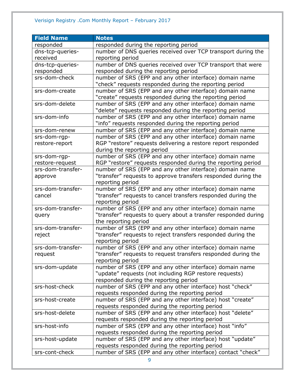#### Verisign Registry .Com Monthly Report – February 2017

| <b>Field Name</b> | <b>Notes</b>                                                                                                             |
|-------------------|--------------------------------------------------------------------------------------------------------------------------|
| responded         | responded during the reporting period                                                                                    |
| dns-tcp-queries-  | number of DNS queries received over TCP transport during the                                                             |
| received          | reporting period                                                                                                         |
| dns-tcp-queries-  | number of DNS queries received over TCP transport that were                                                              |
| responded         | responded during the reporting period                                                                                    |
| srs-dom-check     | number of SRS (EPP and any other interface) domain name                                                                  |
|                   | "check" requests responded during the reporting period                                                                   |
| srs-dom-create    | number of SRS (EPP and any other interface) domain name                                                                  |
|                   | "create" requests responded during the reporting period                                                                  |
| srs-dom-delete    | number of SRS (EPP and any other interface) domain name                                                                  |
|                   | "delete" requests responded during the reporting period                                                                  |
| srs-dom-info      | number of SRS (EPP and any other interface) domain name                                                                  |
|                   | "info" requests responded during the reporting period                                                                    |
| srs-dom-renew     | number of SRS (EPP and any other interface) domain name                                                                  |
| srs-dom-rgp-      | number of SRS (EPP and any other interface) domain name                                                                  |
| restore-report    | RGP "restore" requests delivering a restore report responded                                                             |
|                   | during the reporting period                                                                                              |
| srs-dom-rgp-      | number of SRS (EPP and any other interface) domain name                                                                  |
| restore-request   | RGP "restore" requests responded during the reporting period                                                             |
| srs-dom-transfer- | number of SRS (EPP and any other interface) domain name                                                                  |
| approve           | "transfer" requests to approve transfers responded during the                                                            |
|                   | reporting period                                                                                                         |
| srs-dom-transfer- | number of SRS (EPP and any other interface) domain name                                                                  |
| cancel            | "transfer" requests to cancel transfers responded during the                                                             |
|                   | reporting period                                                                                                         |
| srs-dom-transfer- | number of SRS (EPP and any other interface) domain name                                                                  |
| query             | "transfer" requests to query about a transfer responded during                                                           |
|                   | the reporting period                                                                                                     |
| srs-dom-transfer- | number of SRS (EPP and any other interface) domain name                                                                  |
| reject            | "transfer" requests to reject transfers responded during the                                                             |
|                   | reporting period                                                                                                         |
| srs-dom-transfer- | number of SRS (EPP and any other interface) domain name<br>"transfer" requests to request transfers responded during the |
| request           |                                                                                                                          |
| srs-dom-update    | reporting period<br>number of SRS (EPP and any other interface) domain name                                              |
|                   | "update" requests (not including RGP restore requests)                                                                   |
|                   | responded during the reporting period                                                                                    |
| srs-host-check    | number of SRS (EPP and any other interface) host "check"                                                                 |
|                   | requests responded during the reporting period                                                                           |
| srs-host-create   | number of SRS (EPP and any other interface) host "create"                                                                |
|                   | requests responded during the reporting period                                                                           |
| srs-host-delete   | number of SRS (EPP and any other interface) host "delete"                                                                |
|                   | requests responded during the reporting period                                                                           |
| srs-host-info     | number of SRS (EPP and any other interface) host "info"                                                                  |
|                   | requests responded during the reporting period                                                                           |
| srs-host-update   | number of SRS (EPP and any other interface) host "update"                                                                |
|                   | requests responded during the reporting period                                                                           |
| srs-cont-check    | number of SRS (EPP and any other interface) contact "check"                                                              |
|                   |                                                                                                                          |